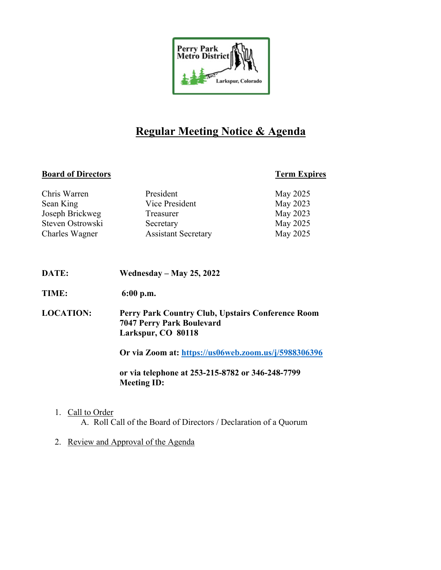

# **Regular Meeting Notice & Agenda**

# **Board of Directors Term Expires**

| Chris Warren     | President                  | May 2025 |
|------------------|----------------------------|----------|
| Sean King        | Vice President             | May 2023 |
| Joseph Brickweg  | Treasurer                  | May 2023 |
| Steven Ostrowski | Secretary                  | May 2025 |
| Charles Wagner   | <b>Assistant Secretary</b> | May 2025 |

- **DATE: Wednesday – May 25, 2022**
- **TIME: 6:00 p.m.**
- **LOCATION: Perry Park Country Club, Upstairs Conference Room 7047 Perry Park Boulevard Larkspur, CO 80118**

**Or via Zoom at: https://us06web.zoom.us/j/5988306396**

**or via telephone at 253-215-8782 or 346-248-7799 Meeting ID:** 

1. Call to Order

A. Roll Call of the Board of Directors / Declaration of a Quorum

2. Review and Approval of the Agenda